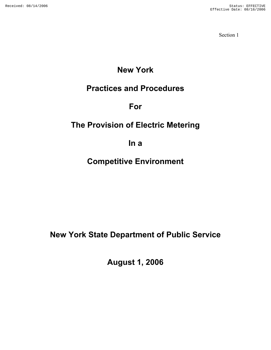Section 1

# **New York**

# **Practices and Procedures**

# **For**

# **The Provision of Electric Metering**

**In a** 

# **Competitive Environment**

# **New York State Department of Public Service**

**August 1, 2006**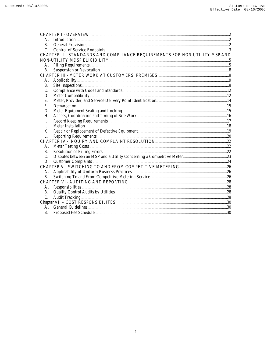| <b>B.</b>                                                                  |  |  |  |  |  |  |
|----------------------------------------------------------------------------|--|--|--|--|--|--|
| $\mathcal{C}$                                                              |  |  |  |  |  |  |
| CHAPTER II - STANDARDS AND COMPLIANCE REQUIREMENTS FOR NON-UTILITY MSP AND |  |  |  |  |  |  |
|                                                                            |  |  |  |  |  |  |
| А.                                                                         |  |  |  |  |  |  |
| <b>B.</b>                                                                  |  |  |  |  |  |  |
|                                                                            |  |  |  |  |  |  |
| А.                                                                         |  |  |  |  |  |  |
| <b>B.</b>                                                                  |  |  |  |  |  |  |
| C.                                                                         |  |  |  |  |  |  |
| D.                                                                         |  |  |  |  |  |  |
| E.                                                                         |  |  |  |  |  |  |
| F.                                                                         |  |  |  |  |  |  |
| G.                                                                         |  |  |  |  |  |  |
| Н.                                                                         |  |  |  |  |  |  |
| I.                                                                         |  |  |  |  |  |  |
| J.                                                                         |  |  |  |  |  |  |
| K.                                                                         |  |  |  |  |  |  |
| L.                                                                         |  |  |  |  |  |  |
|                                                                            |  |  |  |  |  |  |
| Α.                                                                         |  |  |  |  |  |  |
| <b>B.</b>                                                                  |  |  |  |  |  |  |
| C.                                                                         |  |  |  |  |  |  |
| D.                                                                         |  |  |  |  |  |  |
|                                                                            |  |  |  |  |  |  |
| А.                                                                         |  |  |  |  |  |  |
| <b>B.</b>                                                                  |  |  |  |  |  |  |
|                                                                            |  |  |  |  |  |  |
| А.                                                                         |  |  |  |  |  |  |
| <b>B.</b>                                                                  |  |  |  |  |  |  |
| C.                                                                         |  |  |  |  |  |  |
|                                                                            |  |  |  |  |  |  |
| $A_{\cdot}$                                                                |  |  |  |  |  |  |
| <b>B.</b>                                                                  |  |  |  |  |  |  |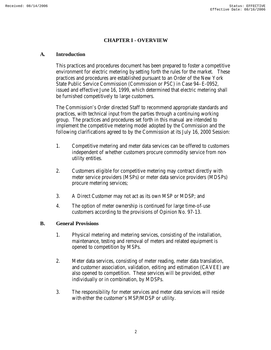# **CHAPTER I - OVERVIEW**

#### **A. Introduction**

This practices and procedures document has been prepared to foster a competitive environment for electric metering by setting forth the rules for the market. These practices and procedures are established pursuant to an Order of the New York State Public Service Commission (Commission or PSC) in Case 94–E-0952, issued and effective June 16, 1999, which determined that electric metering shall be furnished competitively to large customers.

The Commission's Order directed Staff to recommend appropriate standards and practices, with technical input from the parties through a continuing working group. The practices and procedures set forth in this manual are intended to implement the competitive metering model adopted by the Commission and the following clarifications agreed to by the Commission at its July 16, 2000 Session:

- 1. Competitive metering and meter data services can be offered to customers independent of whether customers procure commodity service from nonutility entities.
- 2. Customers eligible for competitive metering may contract directly with meter service providers (MSPs) or meter data service providers (MDSPs) procure metering services;
- 3. A Direct Customer may not act as its own MSP or MDSP; and
- 4. The option of meter ownership is continued for large time-of-use customers according to the provisions of Opinion No. 97-13.

#### **B. General Provisions**

- 1. Physical metering and metering services, consisting of the installation, maintenance, testing and removal of meters and related equipment is opened to competition by MSPs.
- 2. Meter data services, consisting of meter reading, meter data translation, and customer association, validation, editing and estimation (CAVEE) are also opened to competition. These services will be provided, either individually or in combination, by MDSPs.
- 3. The responsibility for meter services and meter data services will reside with either the customer's MSP/MDSP or utility.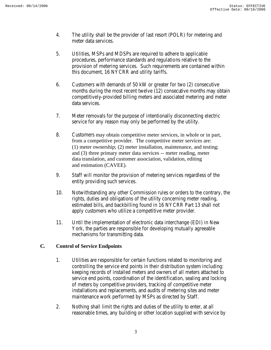- 4. The utility shall be the provider of last resort (POLR) for metering and meter data services.
- 5. Utilities, MSPs and MDSPs are required to adhere to applicable procedures, performance standards and regulations relative to the provision of metering services. Such requirements are contained within this document, 16 NYCRR and utility tariffs.
- 6. Customers with demands of 50 kW or greater for two (2) consecutive months during the most recent twelve (12) consecutive months may obtain competitively-provided billing meters and associated metering and meter data services.
- 7. Meter removals for the purpose of intentionally disconnecting electric service for any reason may only be performed by the utility.
- 8. Customers may obtain competitive meter services, in whole or in part, from a competitive provider. The competitive meter services are: (1) meter ownership; (2) meter installation, maintenance, and testing; and (3) three primary meter data services -- meter reading, meter data translation, and customer association, validation, editing and estimation (CAVEE).
- 9. Staff will monitor the provision of metering services regardless of the entity providing such services.
- 10. Notwithstanding any other Commission rules or orders to the contrary, the rights, duties and obligations of the utility concerning meter reading, estimated bills, and backbilling found in 16 NYCRR Part 13 shall not apply customers who utilize a competitive meter provider.
- 11. Until the implementation of electronic data interchange (EDI) in New York, the parties are responsible for developing mutually agreeable mechanisms for transmitting data.

# **C. Control of Service Endpoints**

- 1. Utilities are responsible for certain functions related to monitoring and controlling the service end points in their distribution system including: keeping records of installed meters and owners of all meters attached to service end points, coordination of the identification, sealing and locking of meters by competitive providers, tracking of competitive meter installations and replacements, and audits of metering sites and meter maintenance work performed by MSPs as directed by Staff.
- 2. Nothing shall limit the rights and duties of the utility to enter, at all reasonable times, any building or other location supplied with service by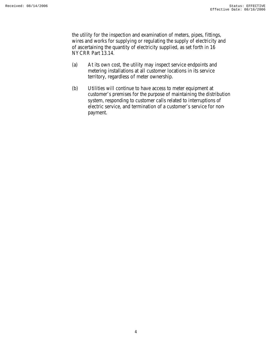the utility for the inspection and examination of meters, pipes, fittings, wires and works for supplying or regulating the supply of electricity and of ascertaining the quantity of electricity supplied, as set forth in 16 NYCRR Part 13.14.

- (a) At its own cost, the utility may inspect service endpoints and metering installations at all customer locations in its service territory, regardless of meter ownership.
- (b) Utilities will continue to have access to meter equipment at customer's premises for the purpose of maintaining the distribution system, responding to customer calls related to interruptions of electric service, and termination of a customer's service for nonpayment.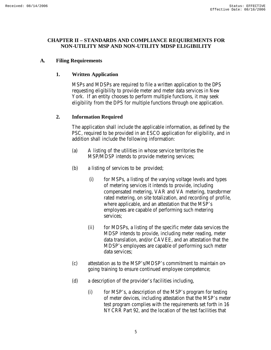#### **CHAPTER II – STANDARDS AND COMPLIANCE REQUIREMENTS FOR NON-UTILITY MSP AND NON-UTILITY MDSP ELIGIBILITY**

# **A. Filing Requirements**

# **1. Written Application**

MSPs and MDSPs are required to file a written application to the DPS requesting eligibility to provide meter and meter data services in New York. If an entity chooses to perform multiple functions, it may seek eligibility from the DPS for multiple functions through one application.

#### **2. Information Required**

The application shall include the applicable information, as defined by the PSC, required to be provided in an ESCO application for eligibility, and in addition shall include the following information:

- (a) A listing of the utilities in whose service territories the MSP/MDSP intends to provide metering services;
- (b) a listing of services to be provided;
	- (i) for MSPs, a listing of the varying voltage levels and types of metering services it intends to provide, including compensated metering, VAR and VA metering, transformer rated metering, on site totalization, and recording of profile, where applicable, and an attestation that the MSP's employees are capable of performing such metering services;
	- (ii) for MDSPs, a listing of the specific meter data services the MDSP intends to provide, including meter reading, meter data translation, and/or CAVEE, and an attestation that the MDSP's employees are capable of performing such meter data services;
- (c) attestation as to the MSP's/MDSP's commitment to maintain ongoing training to ensure continued employee competence;
- (d) a description of the provider's facilities including,
	- (i) for MSP's, a description of the MSP's program for testing of meter devices, including attestation that the MSP's meter test program complies with the requirements set forth in 16 NYCRR Part 92, and the location of the test facilities that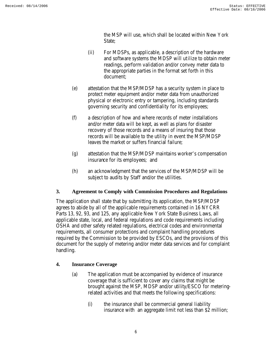the MSP will use, which shall be located within New York State:

- (ii) For MDSPs, as applicable, a description of the hardware and software systems the MDSP will utilize to obtain meter readings, perform validation and/or convey meter data to the appropriate parties in the format set forth in this document;
- (e) attestation that the MSP/MDSP has a security system in place to protect meter equipment and/or meter data from unauthorized physical or electronic entry or tampering, including standards governing security and confidentiality for its employees;
- (f) a description of how and where records of meter installations and/or meter data will be kept, as well as plans for disaster recovery of those records and a means of insuring that those records will be available to the utility in event the MSP/MDSP leaves the market or suffers financial failure;
- (g) attestation that the MSP/MDSP maintains worker's compensation insurance for its employees; and
- (h) an acknowledgment that the services of the MSP/MDSP will be subject to audits by Staff and/or the utilities.

# **3. Agreement to Comply with Commission Procedures and Regulations**

The application shall state that by submitting its application, the MSP/MDSP agrees to abide by all of the applicable requirements contained in 16 NYCRR Parts 13, 92, 93, and 125, any applicable New York State Business Laws, all applicable state, local, and federal regulations and code requirements including OSHA and other safety related regulations, electrical codes and environmental requirements, all consumer protections and complaint handling procedures required by the Commission to be provided by ESCOs, and the provisions of this document for the supply of metering and/or meter data services and for complaint handling.

# **4. Insurance Coverage**

- (a) The application must be accompanied by evidence of insurance coverage that is sufficient to cover any claims that might be brought against the MSP, MDSP and/or utility/ESCO for meteringrelated activities and that meets the following specifications:
	- (i) the insurance shall be commercial general liability insurance with an aggregate limit not less than \$2 million;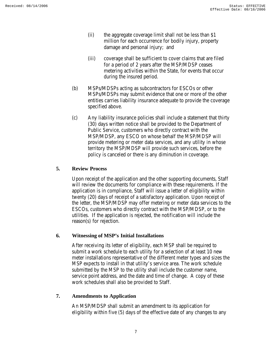- (ii) the aggregate coverage limit shall not be less than \$1 million for each occurrence for bodily injury, property damage and personal injury; and
- (iii) coverage shall be sufficient to cover claims that are filed for a period of 2 years after the MSP/MDSP ceases metering activities within the State, for events that occur during the insured period.
- (b) MSPs/MDSPs acting as subcontractors for ESCOs or other MSPs/MDSPs may submit evidence that one or more of the other entities carries liability insurance adequate to provide the coverage specified above.
- (c) Any liability insurance policies shall include a statement that thirty (30) days written notice shall be provided to the Department of Public Service, customers who directly contract with the MSP/MDSP, any ESCO on whose behalf the MSP/MDSP will provide metering or meter data services, and any utility in whose territory the MSP/MDSP will provide such services, before the policy is canceled or there is any diminution in coverage.

# **5. Review Process**

Upon receipt of the application and the other supporting documents, Staff will review the documents for compliance with these requirements. If the application is in compliance, Staff will issue a letter of eligibility within twenty (20) days of receipt of a satisfactory application. Upon receipt of the letter, the MSP/MDSP may offer metering or meter data services to the ESCOs, customers who directly contract with the MSP/MDSP, or to the utilities. If the application is rejected, the notification will include the reason(s) for rejection.

#### **6. Witnessing of MSP's Initial Installations**

After receiving its letter of eligibility, each MSP shall be required to submit a work schedule to each utility for a selection of at least 10 new meter installations representative of the different meter types and sizes the MSP expects to install in that utility's service area. The work schedule submitted by the MSP to the utility shall include the customer name, service point address, and the date and time of change. A copy of these work schedules shall also be provided to Staff.

# **7. Amendments to Application**

An MSP/MDSP shall submit an amendment to its application for eligibility within five (5) days of the effective date of any changes to any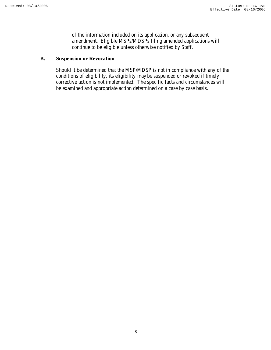of the information included on its application, or any subsequent amendment. Eligible MSPs/MDSPs filing amended applications will continue to be eligible unless otherwise notified by Staff.

# **B. Suspension or Revocation**

Should it be determined that the MSP/MDSP is not in compliance with any of the conditions of eligibility, its eligibility may be suspended or revoked if timely corrective action is not implemented. The specific facts and circumstances will be examined and appropriate action determined on a case by case basis.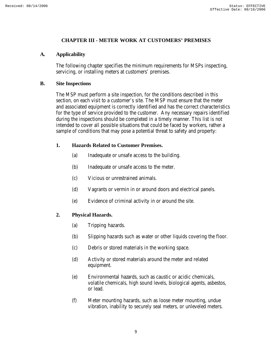#### **CHAPTER III - METER WORK AT CUSTOMERS' PREMISES**

#### **A. Applicability**

The following chapter specifies the minimum requirements for MSPs inspecting, servicing, or installing meters at customers' premises.

#### **B. Site Inspections**

The MSP must perform a site inspection, for the conditions described in this section, on each visit to a customer's site. The MSP must ensure that the meter and associated equipment is correctly identified and has the correct characteristics for the type of service provided to the customer. Any necessary repairs identified during the inspections should be completed in a timely manner. This list is not intended to cover all possible situations that could be faced by workers, rather a sample of conditions that may pose a potential threat to safety and property:

# **1. Hazards Related to Customer Premises.**

- (a) Inadequate or unsafe access to the building.
- (b) Inadequate or unsafe access to the meter.
- (c) Vicious or unrestrained animals.
- (d) Vagrants or vermin in or around doors and electrical panels.
- (e) Evidence of criminal activity in or around the site.

# **2. Physical Hazards.**

- (a) Tripping hazards.
- (b) Slipping hazards such as water or other liquids covering the floor.
- (c) Debris or stored materials in the working space.
- (d) Activity or stored materials around the meter and related equipment.
- (e) Environmental hazards, such as caustic or acidic chemicals, volatile chemicals, high sound levels, biological agents, asbestos, or lead.
- (f) Meter mounting hazards, such as loose meter mounting, undue vibration, inability to securely seal meters, or unleveled meters.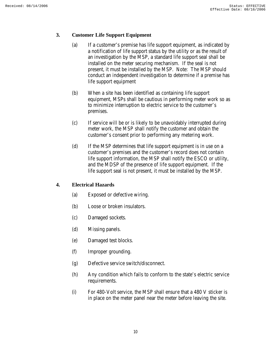#### **3. Customer Life Support Equipment**

- (a) If a customer's premise has life support equipment, as indicated by a notification of life support status by the utility or as the result of an investigation by the MSP, a standard life support seal shall be installed on the meter securing mechanism. If the seal is not present, it must be installed by the MSP. Note: The MSP should conduct an independent investigation to determine if a premise has life support equipment
- (b) When a site has been identified as containing life support equipment, MSPs shall be cautious in performing meter work so as to minimize interruption to electric service to the customer's premises.
- (c) If service will be or is likely to be unavoidably interrupted during meter work, the MSP shall notify the customer and obtain the customer's consent prior to performing any metering work.
- (d) If the MSP determines that life support equipment is in use on a customer's premises and the customer's record does not contain life support information, the MSP shall notify the ESCO or utility, and the MDSP of the presence of life support equipment. If the life support seal is not present, it must be installed by the MSP.

# **4. Electrical Hazards**

- (a) Exposed or defective wiring.
- (b) Loose or broken insulators.
- (c) Damaged sockets.
- (d) Missing panels.
- (e) Damaged test blocks.
- (f) Improper grounding.
- (g) Defective service switch/disconnect.
- (h) Any condition which fails to conform to the state's electric service requirements.
- (i) For 480-Volt service, the MSP shall ensure that a 480 V sticker is in place on the meter panel near the meter before leaving the site.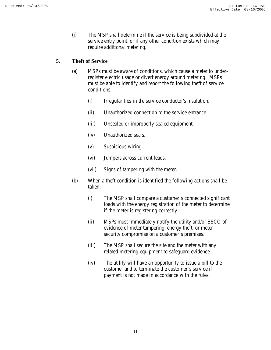(j) The MSP shall determine if the service is being subdivided at the service entry point, or if any other condition exists which may require additional metering.

#### **5. Theft of Service**

- (a) MSPs must be aware of conditions, which cause a meter to underregister electric usage or divert energy around metering. MSPs must be able to identify and report the following theft of service conditions:
	- (i) Irregularities in the service conductor's insulation.
	- (ii) Unauthorized connection to the service entrance.
	- (iii) Unsealed or improperly sealed equipment.
	- (iv) Unauthorized seals.
	- (v) Suspicious wiring.
	- (vi) Jumpers across current leads.
	- (vii) Signs of tampering with the meter.
- (b) When a theft condition is identified the following actions shall be taken:
	- (i) The MSP shall compare a customer's connected significant loads with the energy registration of the meter to determine if the meter is registering correctly.
	- (ii) MSPs must immediately notify the utility and/or ESCO of evidence of meter tampering, energy theft, or meter security compromise on a customer's premises.
	- (iii) The MSP shall secure the site and the meter with any related metering equipment to safeguard evidence.
	- (iv) The utility will have an opportunity to issue a bill to the customer and to terminate the customer's service if payment is not made in accordance with the rules.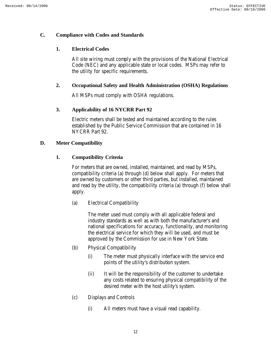#### **C. Compliance with Codes and Standards**

# **1. Electrical Codes**

All site wiring must comply with the provisions of the National Electrical Code (NEC) and any applicable state or local codes. MSPs may refer to the utility for specific requirements.

# **2. Occupational Safety and Health Administration (OSHA) Regulations**

All MSPs must comply with OSHA regulations.

# **3. Applicability of 16 NYCRR Part 92**

Electric meters shall be tested and maintained according to the rules established by the Public Service Commission that are contained in 16 NYCRR Part 92.

# **D. Meter Compatibility**

# **1. Compatibility Criteria**

For meters that are owned, installed, maintained, and read by MSPs, compatibility criteria (a) through (d) below shall apply. For meters that are owned by customers or other third parties, but installed, maintained and read by the utility, the compatibility criteria (a) through (f) below shall apply.

(a) Electrical Compatibility

The meter used must comply with all applicable federal and industry standards as well as with both the manufacturer's and national specifications for accuracy, functionality, and monitoring the electrical service for which they will be used, and must be approved by the Commission for use in New York State.

- (b) Physical Compatibility
	- (i) The meter must physically interface with the service end points of the utility's distribution system.
	- (ii) It will be the responsibility of the customer to undertake any costs related to ensuring physical compatibility of the desired meter with the host utility's system.
- (c) Displays and Controls
	- (i) All meters must have a visual read capability.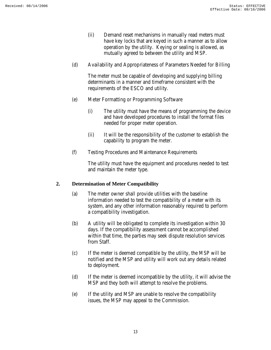- (ii) Demand reset mechanisms in manually read meters must have key locks that are keyed in such a manner as to allow operation by the utility. Keying or sealing is allowed, as mutually agreed to between the utility and MSP.
- (d) Availability and Appropriateness of Parameters Needed for Billing

The meter must be capable of developing and supplying billing determinants in a manner and timeframe consistent with the requirements of the ESCO and utility.

- (e) Meter Formatting or Programming Software
	- (i) The utility must have the means of programming the device and have developed procedures to install the format files needed for proper meter operation.
	- (ii) It will be the responsibility of the customer to establish the capability to program the meter.
- (f) Testing Procedures and Maintenance Requirements

The utility must have the equipment and procedures needed to test and maintain the meter type.

# **2. Determination of Meter Compatibility**

- (a) The meter owner shall provide utilities with the baseline information needed to test the compatibility of a meter with its system, and any other information reasonably required to perform a compatibility investigation.
- (b) A utility will be obligated to complete its investigation within 30 days. If the compatibility assessment cannot be accomplished within that time, the parties may seek dispute resolution services from Staff.
- (c) If the meter is deemed compatible by the utility, the MSP will be notified and the MSP and utility will work out any details related to deployment.
- (d) If the meter is deemed incompatible by the utility, it will advise the MSP and they both will attempt to resolve the problems.
- (e) If the utility and MSP are unable to resolve the compatibility issues, the MSP may appeal to the Commission.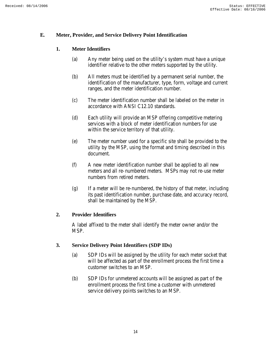#### **E. Meter, Provider, and Service Delivery Point Identification**

# **1. Meter Identifiers**

- (a) Any meter being used on the utility's system must have a unique identifier relative to the other meters supported by the utility.
- (b) All meters must be identified by a permanent serial number, the identification of the manufacturer, type, form, voltage and current ranges, and the meter identification number.
- (c) The meter identification number shall be labeled on the meter in accordance with ANSI C12.10 standards.
- (d) Each utility will provide an MSP offering competitive metering services with a block of meter identification numbers for use within the service territory of that utility.
- (e) The meter number used for a specific site shall be provided to the utility by the MSP, using the format and timing described in this document.
- (f) A new meter identification number shall be applied to all new meters and all re-numbered meters. MSPs may not re-use meter numbers from retired meters.
- (g) If a meter will be re-numbered, the history of that meter, including its past identification number, purchase date, and accuracy record, shall be maintained by the MSP.

#### **2. Provider Identifiers**

A label affixed to the meter shall identify the meter owner and/or the MSP.

#### **3. Service Delivery Point Identifiers (SDP IDs)**

- (a) SDP IDs will be assigned by the utility for each meter socket that will be affected as part of the enrollment process the first time a customer switches to an MSP.
- (b) SDP IDs for unmetered accounts will be assigned as part of the enrollment process the first time a customer with unmetered service delivery points switches to an MSP.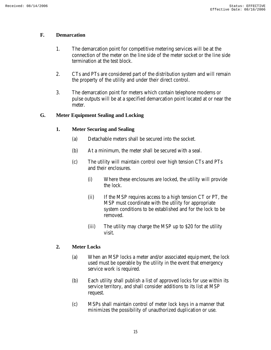#### **F. Demarcation**

- 1. The demarcation point for competitive metering services will be at the connection of the meter on the line side of the meter socket or the line side termination at the test block.
- 2. CTs and PTs are considered part of the distribution system and will remain the property of the utility and under their direct control.
- 3. The demarcation point for meters which contain telephone modems or pulse outputs will be at a specified demarcation point located at or near the meter.

# **G. Meter Equipment Sealing and Locking**

# **1. Meter Securing and Sealing**

- (a) Detachable meters shall be secured into the socket.
- (b) At a minimum, the meter shall be secured with a seal.
- (c) The utility will maintain control over high tension CTs and PTs and their enclosures.
	- (i) Where these enclosures are locked, the utility will provide the lock.
	- (ii) If the MSP requires access to a high tension CT or PT, the MSP must coordinate with the utility for appropriate system conditions to be established and for the lock to be removed.
	- (iii) The utility may charge the MSP up to \$20 for the utility visit.

# **2. Meter Locks**

- (a) When an MSP locks a meter and/or associated equipment, the lock used must be operable by the utility in the event that emergency service work is required.
- (b) Each utility shall publish a list of approved locks for use within its service territory, and shall consider additions to its list at MSP request.
- (c) MSPs shall maintain control of meter lock keys in a manner that minimizes the possibility of unauthorized duplication or use.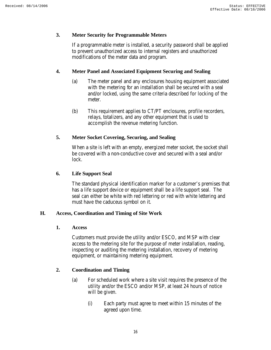#### **3. Meter Security for Programmable Meters**

If a programmable meter is installed, a security password shall be applied to prevent unauthorized access to internal registers and unauthorized modifications of the meter data and program.

#### **4. Meter Panel and Associated Equipment Securing and Sealing**

- (a) The meter panel and any enclosures housing equipment associated with the metering for an installation shall be secured with a seal and/or locked, using the same criteria described for locking of the meter.
- (b) This requirement applies to CT/PT enclosures, profile recorders, relays, totalizers, and any other equipment that is used to accomplish the revenue metering function.

#### **5. Meter Socket Covering, Securing, and Sealing**

When a site is left with an empty, energized meter socket, the socket shall be covered with a non-conductive cover and secured with a seal and/or lock.

#### **6. Life Support Seal**

The standard physical identification marker for a customer's premises that has a life support device or equipment shall be a life support seal. The seal can either be white with red lettering or red with white lettering and must have the caduceus symbol on it.

#### **H. Access, Coordination and Timing of Site Work**

**1. Access**

Customers must provide the utility and/or ESCO, and MSP with clear access to the metering site for the purpose of meter installation, reading, inspecting or auditing the metering installation, recovery of metering equipment, or maintaining metering equipment.

#### **2. Coordination and Timing**

- (a) For scheduled work where a site visit requires the presence of the utility and/or the ESCO and/or MSP, at least 24 hours of notice will be given.
	- (i) Each party must agree to meet within 15 minutes of the agreed upon time.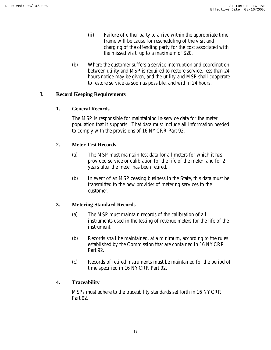- (ii) Failure of either party to arrive within the appropriate time frame will be cause for rescheduling of the visit and charging of the offending party for the cost associated with the missed visit, up to a maximum of \$20.
- (b) Where the customer suffers a service interruption and coordination between utility and MSP is required to restore service, less than 24 hours notice may be given, and the utility and MSP shall cooperate to restore service as soon as possible, and within 24 hours.

# **I. Record Keeping Requirements**

#### **1. General Records**

The MSP is responsible for maintaining in-service data for the meter population that it supports. That data must include all information needed to comply with the provisions of 16 NYCRR Part 92.

# **2. Meter Test Records**

- (a) The MSP must maintain test data for all meters for which it has provided service or calibration for the life of the meter, and for 2 years after the meter has been retired.
- (b) In event of an MSP ceasing business in the State, this data must be transmitted to the new provider of metering services to the customer.

# **3. Metering Standard Records**

- (a) The MSP must maintain records of the calibration of all instruments used in the testing of revenue meters for the life of the instrument.
- (b) Records shall be maintained, at a minimum, according to the rules established by the Commission that are contained in 16 NYCRR Part 92.
- (c) Records of retired instruments must be maintained for the period of time specified in 16 NYCRR Part 92.

#### **4. Traceability**

MSPs must adhere to the traceability standards set forth in 16 NYCRR Part 92.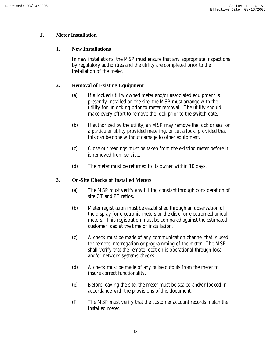# **J. Meter Installation**

#### **1. New Installations**

In new installations, the MSP must ensure that any appropriate inspections by regulatory authorities and the utility are completed prior to the installation of the meter.

# **2. Removal of Existing Equipment**

- (a) If a locked utility owned meter and/or associated equipment is presently installed on the site, the MSP must arrange with the utility for unlocking prior to meter removal. The utility should make every effort to remove the lock prior to the switch date.
- (b) If authorized by the utility, an MSP may remove the lock or seal on a particular utility provided metering, or cut a lock, provided that this can be done without damage to other equipment.
- (c) Close out readings must be taken from the existing meter before it is removed from service.
- (d) The meter must be returned to its owner within 10 days.

#### **3. On-Site Checks of Installed Meters**

- (a) The MSP must verify any billing constant through consideration of site CT and PT ratios.
- (b) Meter registration must be established through an observation of the display for electronic meters or the disk for electromechanical meters. This registration must be compared against the estimated customer load at the time of installation.
- (c) A check must be made of any communication channel that is used for remote interrogation or programming of the meter. The MSP shall verify that the remote location is operational through local and/or network systems checks.
- (d) A check must be made of any pulse outputs from the meter to insure correct functionality.
- (e) Before leaving the site, the meter must be sealed and/or locked in accordance with the provisions of this document.
- (f) The MSP must verify that the customer account records match the installed meter.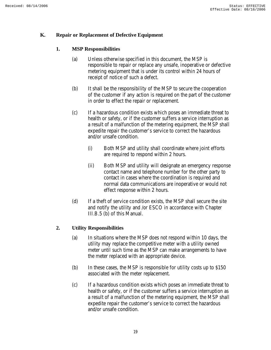#### **K. Repair or Replacement of Defective Equipment**

#### **1. MSP Responsibilities**

- (a) Unless otherwise specified in this document, the MSP is responsible to repair or replace any unsafe, inoperative or defective metering equipment that is under its control within 24 hours of receipt of notice of such a defect.
- (b) It shall be the responsibility of the MSP to secure the cooperation of the customer if any action is required on the part of the customer in order to effect the repair or replacement.
- (c) If a hazardous condition exists which poses an immediate threat to health or safety, or if the customer suffers a service interruption as a result of a malfunction of the metering equipment, the MSP shall expedite repair the customer's service to correct the hazardous and/or unsafe condition.
	- (i) Both MSP and utility shall coordinate where joint efforts are required to respond within 2 hours.
	- (ii) Both MSP and utility will designate an emergency response contact name and telephone number for the other party to contact in cases where the coordination is required and normal data communications are inoperative or would not effect response within 2 hours.
- (d) If a theft of service condition exists, the MSP shall secure the site and notify the utility and /or ESCO in accordance with Chapter III.B.5 (b) of this Manual.

#### **2. Utility Responsibilities**

- (a) In situations where the MSP does not respond within 10 days, the utility may replace the competitive meter with a utility owned meter until such time as the MSP can make arrangements to have the meter replaced with an appropriate device.
- (b) In these cases, the MSP is responsible for utility costs up to \$150 associated with the meter replacement.
- (c) If a hazardous condition exists which poses an immediate threat to health or safety, or if the customer suffers a service interruption as a result of a malfunction of the metering equipment, the MSP shall expedite repair the customer's service to correct the hazardous and/or unsafe condition.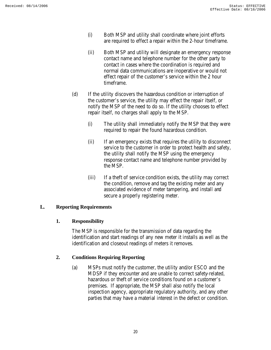- (i) Both MSP and utility shall coordinate where joint efforts are required to effect a repair within the 2-hour timeframe.
- (ii) Both MSP and utility will designate an emergency response contact name and telephone number for the other party to contact in cases where the coordination is required and normal data communications are inoperative or would not effect repair of the customer's service within the 2 hour timeframe.
- (d) If the utility discovers the hazardous condition or interruption of the customer's service, the utility may effect the repair itself, or notify the MSP of the need to do so. If the utility chooses to effect repair itself, no charges shall apply to the MSP.
	- (i) The utility shall immediately notify the MSP that they were required to repair the found hazardous condition.
	- (ii) If an emergency exists that requires the utility to disconnect service to the customer in order to protect health and safety, the utility shall notify the MSP using the emergency response contact name and telephone number provided by the MSP.
	- (iii) If a theft of service condition exists, the utility may correct the condition, remove and tag the existing meter and any associated evidence of meter tampering, and install and secure a properly registering meter.

# **L. Reporting Requirements**

#### **1. Responsibility**

The MSP is responsible for the transmission of data regarding the identification and start readings of any new meter it installs as well as the identification and closeout readings of meters it removes.

# **2. Conditions Requiring Reporting**

(a) MSPs must notify the customer, the utility and/or ESCO and the MDSP if they encounter and are unable to correct safety-related, hazardous or theft of service conditions found on a customer's premises. If appropriate, the MSP shall also notify the local inspection agency, appropriate regulatory authority, and any other parties that may have a material interest in the defect or condition.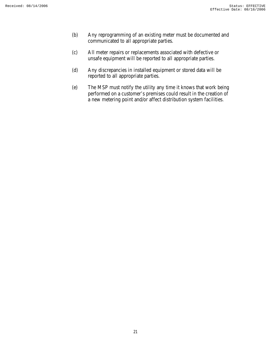- (b) Any reprogramming of an existing meter must be documented and communicated to all appropriate parties.
- (c) All meter repairs or replacements associated with defective or unsafe equipment will be reported to all appropriate parties.
- (d) Any discrepancies in installed equipment or stored data will be reported to all appropriate parties.
- (e) The MSP must notify the utility any time it knows that work being performed on a customer's premises could result in the creation of a new metering point and/or affect distribution system facilities.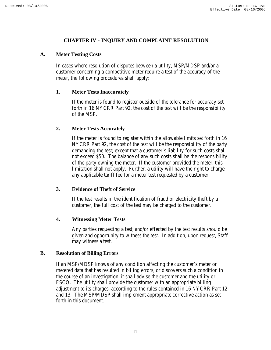#### **CHAPTER IV - INQUIRY AND COMPLAINT RESOLUTION**

#### **A. Meter Testing Costs**

In cases where resolution of disputes between a utility, MSP/MDSP and/or a customer concerning a competitive meter require a test of the accuracy of the meter, the following procedures shall apply:

#### **1. Meter Tests Inaccurately**

If the meter is found to register outside of the tolerance for accuracy set forth in 16 NYCRR Part 92, the cost of the test will be the responsibility of the MSP.

#### **2. Meter Tests Accurately**

If the meter is found to register within the allowable limits set forth in 16 NYCRR Part 92, the cost of the test will be the responsibility of the party demanding the test; except that a customer's liability for such costs shall not exceed \$50. The balance of any such costs shall be the responsibility of the party owning the meter. If the customer provided the meter, this limitation shall not apply. Further, a utility will have the right to charge any applicable tariff fee for a meter test requested by a customer.

#### **3. Evidence of Theft of Service**

If the test results in the identification of fraud or electricity theft by a customer, the full cost of the test may be charged to the customer.

#### **4. Witnessing Meter Tests**

Any parties requesting a test, and/or effected by the test results should be given and opportunity to witness the test. In addition, upon request, Staff may witness a test.

#### **B. Resolution of Billing Errors**

If an MSP/MDSP knows of any condition affecting the customer's meter or metered data that has resulted in billing errors, or discovers such a condition in the course of an investigation, it shall advise the customer and the utility or ESCO. The utility shall provide the customer with an appropriate billing adjustment to its charges, according to the rules contained in 16 NYCRR Part 12 and 13. The MSP/MDSP shall implement appropriate corrective action as set forth in this document.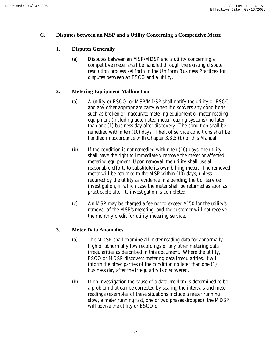#### **C. Disputes between an MSP and a Utility Concerning a Competitive Meter**

# **1. Disputes Generally**

(a) Disputes between an MSP/MDSP and a utility concerning a competitive meter shall be handled through the existing dispute resolution process set forth in the Uniform Business Practices for disputes between an ESCO and a utility.

# **2. Metering Equipment Malfunction**

- (a) A utility or ESCO, or MSP/MDSP shall notify the utility or ESCO and any other appropriate party when it discovers any conditions such as broken or inaccurate metering equipment or meter reading equipment (including automated meter reading systems) no later than one (1) business day after discovery. The condition shall be remedied within ten (10) days. Theft of service conditions shall be handled in accordance with Chapter 3.B.5 (b) of this Manual.
- (b) If the condition is not remedied within ten (10) days, the utility shall have the right to immediately remove the meter or affected metering equipment. Upon removal, the utility shall use all reasonable efforts to substitute its own billing meter. The removed meter will be returned to the MSP within (10) days; unless required by the utility as evidence in a pending theft of service investigation, in which case the meter shall be returned as soon as practicable after its investigation is completed.
- (c) An MSP may be charged a fee not to exceed \$150 for the utility's removal of the MSP's metering, and the customer will not receive the monthly credit for utility metering service.

#### **3. Meter Data Anomalies**

- (a) The MDSP shall examine all meter reading data for abnormally high or abnormally low recordings or any other metering data irregularities as described in this document. Where the utility, ESCO or MDSP discovers metering data irregularities, it will inform the other parties of the condition no later than one (1) business day after the irregularity is discovered.
- (b) If on investigation the cause of a data problem is determined to be a problem that can be corrected by scaling the intervals and meter readings (examples of these situations include a meter running slow, a meter running fast, one or two phases dropped), the MDSP will advise the utility or ESCO of: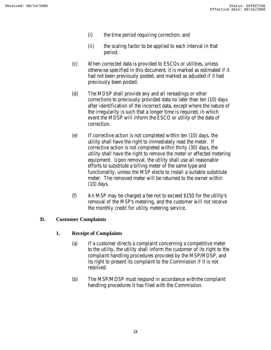- (i) the time period requiring correction; and
- (ii) the scaling factor to be applied to each interval in that period.
- (c) When corrected data is provided to ESCOs or utilities, unless otherwise specified in this document, it is marked as estimated if it had not been previously posted, and marked as adjusted if it had previously been posted.
- (d) The MDSP shall provide any and all rereadings or other corrections to previously provided data no later than ten (10) days after identification of the incorrect data, except where the nature of the irregularity is such that a longer time is required, in which event the MDSP will inform the ESCO or utility of the date of correction.
- (e) If corrective action is not completed within ten (10) days, the utility shall have the right to immediately read the meter. If corrective action is not completed within thirty (30) days, the utility shall have the right to remove the meter or affected metering equipment. Upon removal, the utility shall use all reasonable efforts to substitute a billing meter of the same type and functionality, unless the MSP elects to install a suitable substitute meter. The removed meter will be returned to the owner within (10) days.
- (f) An MSP may be charged a fee not to exceed \$150 for the utility's removal of the MSP's metering, and the customer will not receive the monthly credit for utility metering service.

#### **D. Customer Complaints**

#### **1. Receipt of Complaints**

- (a) If a customer directs a complaint concerning a competitive meter to the utility, the utility shall inform the customer of its right to the complaint handling procedures provided by the MSP/MDSP, and its right to present its complaint to the Commission if it is not resolved.
- (b) The MSP/MDSP must respond in accordance with the complaint handling procedures it has filed with the Commission.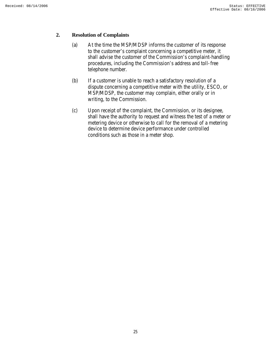#### **2. Resolution of Complaints**

- (a) At the time the MSP/MDSP informs the customer of its response to the customer's complaint concerning a competitive meter, it shall advise the customer of the Commission's complaint-handling procedures, including the Commission's address and toll-free telephone number.
- (b) If a customer is unable to reach a satisfactory resolution of a dispute concerning a competitive meter with the utility, ESCO, or MSP/MDSP, the customer may complain, either orally or in writing, to the Commission.
- (c) Upon receipt of the complaint, the Commission, or its designee, shall have the authority to request and witness the test of a meter or metering device or otherwise to call for the removal of a metering device to determine device performance under controlled conditions such as those in a meter shop.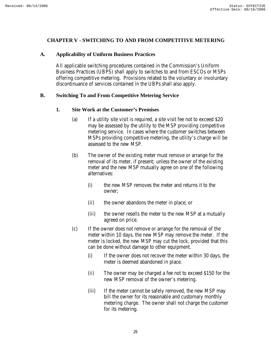#### **CHAPTER V - SWITCHING TO AND FROM COMPETITIVE METERING**

#### **A. Applicability of Uniform Business Practices**

All applicable switching procedures contained in the Commission's Uniform Business Practices (UBPS) shall apply to switches to and from ESCOs or MSPs offering competitive metering. Provisions related to the voluntary or involuntary discontinuance of services contained in the UBPs shall also apply.

#### **B. Switching To and From Competitive Metering Service**

#### **1. Site Work at the Customer's Premises**

- (a) If a utility site visit is required, a site visit fee not to exceed \$20 may be assessed by the utility to the MSP providing competitive metering service. In cases where the customer switches between MSPs providing competitive metering, the utility's charge will be assessed to the new MSP.
- (b) The owner of the existing meter must remove or arrange for the removal of its meter, if present; unless the owner of the existing meter and the new MSP mutually agree on one of the following alternatives:
	- (i) the new MSP removes the meter and returns it to the owner;
	- (ii) the owner abandons the meter in place; or
	- (iii) the owner resells the meter to the new MSP at a mutually agreed on price.
- (c) If the owner does not remove or arrange for the removal of the meter within 10 days, the new MSP may remove the meter. If the meter is locked, the new MSP may cut the lock, provided that this can be done without damage to other equipment.
	- (i) If the owner does not recover the meter within 30 days, the meter is deemed abandoned in place.
	- (ii) The owner may be charged a fee not to exceed \$150 for the new MSP removal of the owner's metering.
	- (iii) If the meter cannot be safely removed, the new MSP may bill the owner for its reasonable and customary monthly metering charge. The owner shall not charge the customer for its metering.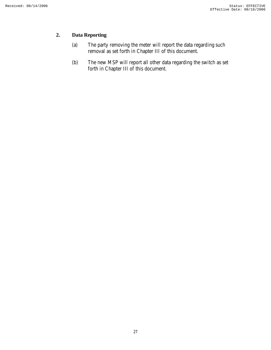# **2. Data Reporting**

- (a) The party removing the meter will report the data regarding such removal as set forth in Chapter III of this document.
- (b) The new MSP will report all other data regarding the switch as set forth in Chapter III of this document.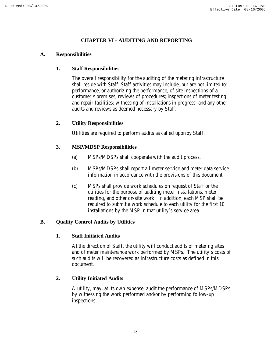# **CHAPTER VI - AUDITING AND REPORTING**

#### **A. Responsibilities**

#### **1. Staff Responsibilities**

The overall responsibility for the auditing of the metering infrastructure shall reside with Staff. Staff activities may include, but are not limited to: performance, or authorizing the performance, of site inspections of a customer's premises; reviews of procedures; inspections of meter testing and repair facilities; witnessing of installations in progress; and any other audits and reviews as deemed necessary by Staff.

#### **2. Utility Responsibilities**

Utilities are required to perform audits as called upon by Staff.

#### **3. MSP/MDSP Responsibilities**

- (a) MSPs/MDSPs shall cooperate with the audit process.
- (b) MSPs/MDSPs shall report all meter service and meter data service information in accordance with the provisions of this document.
- (c) MSPs shall provide work schedules on request of Staff or the utilities for the purpose of auditing meter installations, meter reading, and other on-site work. In addition, each MSP shall be required to submit a work schedule to each utility for the first 10 installations by the MSP in that utility's service area.

#### **B. Quality Control Audits by Utilities**

#### **1. Staff Initiated Audits**

At the direction of Staff, the utility will conduct audits of metering sites and of meter maintenance work performed by MSPs. The utility's costs of such audits will be recovered as infrastructure costs as defined in this document.

#### **2. Utility Initiated Audits**

A utility, may, at its own expense, audit the performance of MSPs/MDSPs by witnessing the work performed and/or by performing follow-up inspections.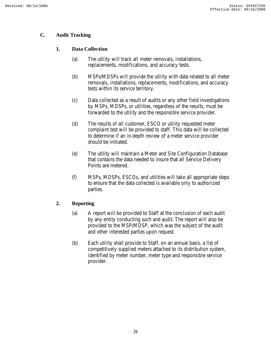# **C. Audit Tracking**

# **1. Data Collection**

- (a) The utility will track all meter removals, installations, replacements, modifications, and accuracy tests.
- (b) MSPs/MDSPs will provide the utility with data related to all meter removals, installations, replacements, modifications, and accuracy tests within its service territory.
- (c) Data collected as a result of audits or any other field investigations by MSPs, MDSPs, or utilities, regardless of the results, must be forwarded to the utility and the responsible service provider.
- (d) The results of all customer, ESCO or utility requested meter complaint test will be provided to staff. This data will be collected to determine if an in-depth review of a meter service provider should be initiated.
- (e) The utility will maintain a Meter and Site Configuration Database that contains the data needed to insure that all Service Delivery Points are metered.
- (f) MSPs, MDSPs, ESCOs, and utilities will take all appropriate steps to ensure that the data collected is available only to authorized parties.

# **2. Reporting**

- (a) A report will be provided to Staff at the conclusion of each audit by any entity conducting such and audit. The report will also be provided to the MSP/MDSP, which was the subject of the audit and other interested parties upon request.
- (b) Each utility shall provide to Staff, on an annual basis, a list of competitively supplied meters attached to its distribution system, identified by meter number, meter type and responsible service provider.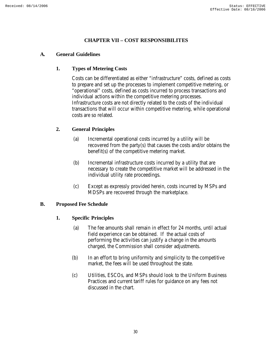# **CHAPTER VII – COST RESPONSIBILITES**

#### **A. General Guidelines**

#### **1. Types of Metering Costs**

Costs can be differentiated as either "infrastructure" costs, defined as costs to prepare and set up the processes to implement competitive metering, or "operational" costs, defined as costs incurred to process transactions and individual actions within the competitive metering processes. Infrastructure costs are not directly related to the costs of the individual transactions that will occur within competitive metering, while operational costs are so related.

# **2. General Principles**

- (a) Incremental operational costs incurred by a utility will be recovered from the party(s) that causes the costs and/or obtains the benefit(s) of the competitive metering market.
- (b) Incremental infrastructure costs incurred by a utility that are necessary to create the competitive market will be addressed in the individual utility rate proceedings.
- (c) Except as expressly provided herein, costs incurred by MSPs and MDSPs are recovered through the marketplace.

#### **B. Proposed Fee Schedule**

#### **1. Specific Principles**

- (a) The fee amounts shall remain in effect for 24 months, until actual field experience can be obtained. If the actual costs of performing the activities can justify a change in the amounts charged, the Commission shall consider adjustments.
- (b) In an effort to bring uniformity and simplicity to the competitive market, the fees will be used throughout the state.
- (c) Utilities, ESCOs, and MSPs should look to the Uniform Business Practices and current tariff rules for guidance on any fees not discussed in the chart.